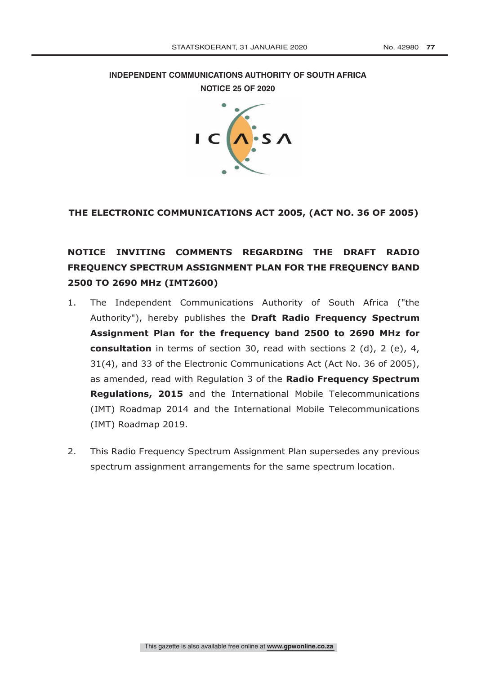**INDEPENDENT COMMUNICATIONS AUTHORITY OF SOUTH AFRICA**

**NOTICE 25 OF 2020** 



# **THE ELECTRONIC COMMUNICATIONS ACT 2005, (ACT NO. 36 OF 2005)**

# **NOTICE INVITING COMMENTS REGARDING THE DRAFT RADIO FREQUENCY SPECTRUM ASSIGNMENT PLAN FOR THE FREQUENCY BAND 2500 TO 2690 MHz (IMT2600)**

- 1. The Independent Communications Authority of South Africa ("the Authority"), hereby publishes the **Draft Radio Frequency Spectrum Assignment Plan for the frequency band 2500 to 2690 MHz for consultation** in terms of section 30, read with sections 2 (d), 2 (e), 4, 31(4), and 33 of the Electronic Communications Act (Act No. 36 of 2005), as amended, read with Regulation 3 of the **Radio Frequency Spectrum Regulations, 2015** and the International Mobile Telecommunications (IMT) Roadmap 2014 and the International Mobile Telecommunications (IMT) Roadmap 2019.
- 2. This Radio Frequency Spectrum Assignment Plan supersedes any previous spectrum assignment arrangements for the same spectrum location.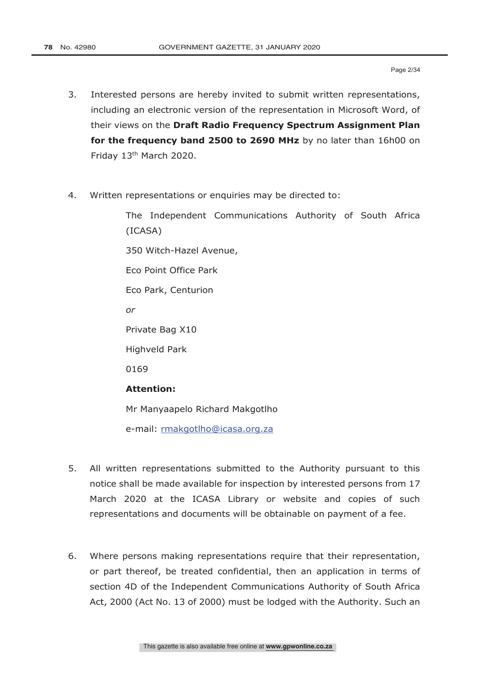- 3. Interested persons are hereby invited to submit written representations, including an electronic version of the representation in Microsoft Word, of their views on the **Draft Radio Frequency Spectrum Assignment Plan for the frequency band 2500 to 2690 MHz** by no later than 16h00 on Friday 13th March 2020.
- 4. Written representations or enquiries may be directed to:

The Independent Communications Authority of South Africa (ICASA)

350 Witch-Hazel Avenue,

Eco Point Office Park

Eco Park, Centurion

*or*

Private Bag X10

Highveld Park

0169

### **Attention:**

Mr Manyaapelo Richard Makgotlho

e-mail: rmakgotlho@icasa.org.za

- 5. All written representations submitted to the Authority pursuant to this notice shall be made available for inspection by interested persons from 17 March 2020 at the ICASA Library or website and copies of such representations and documents will be obtainable on payment of a fee.
- 6. Where persons making representations require that their representation, or part thereof, be treated confidential, then an application in terms of section 4D of the Independent Communications Authority of South Africa Act, 2000 (Act No. 13 of 2000) must be lodged with the Authority. Such an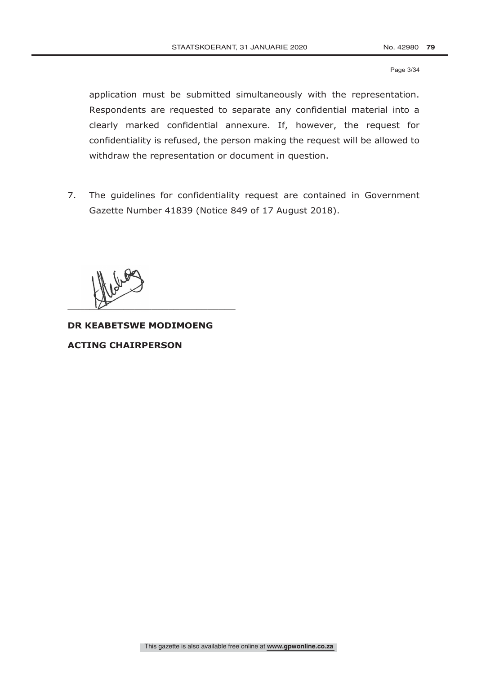Page 3/34

application must be submitted simultaneously with the representation. Respondents are requested to separate any confidential material into a clearly marked confidential annexure. If, however, the request for confidentiality is refused, the person making the request will be allowed to withdraw the representation or document in question.

7. The guidelines for confidentiality request are contained in Government Gazette Number 41839 (Notice 849 of 17 August 2018).

 $\overline{\phantom{a}}$ 

**DR KEABETSWE MODIMOENG**

**ACTING CHAIRPERSON**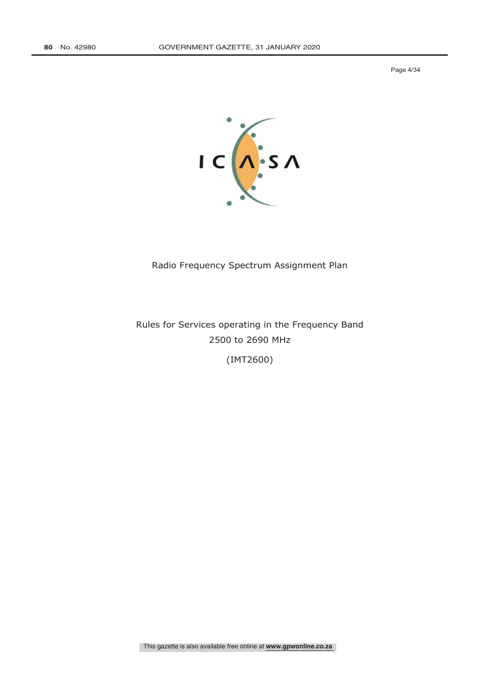Page 4/34



# Radio Frequency Spectrum Assignment Plan

Rules for Services operating in the Frequency Band 2500 to 2690 MHz

(IMT2600)

This gazette is also available free online at **www.gpwonline.co.za**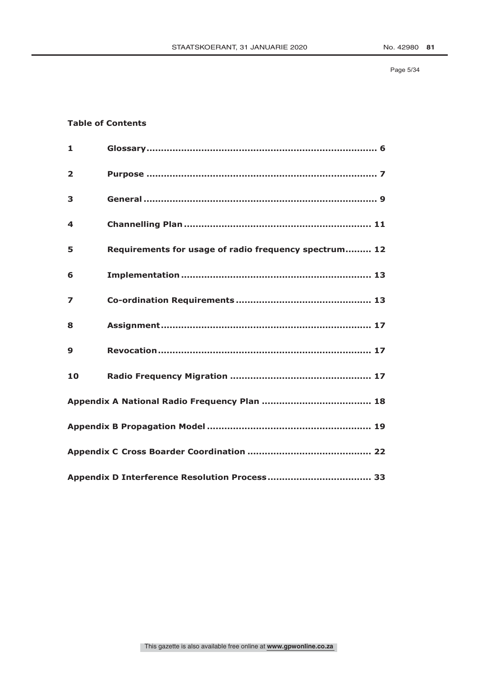### **Table of Contents**

| $\mathbf{1}$            |                                                       |  |  |  |  |
|-------------------------|-------------------------------------------------------|--|--|--|--|
| $\overline{2}$          |                                                       |  |  |  |  |
| 3                       |                                                       |  |  |  |  |
| 4                       |                                                       |  |  |  |  |
| 5                       | Requirements for usage of radio frequency spectrum 12 |  |  |  |  |
| 6                       |                                                       |  |  |  |  |
| $\overline{\mathbf{z}}$ |                                                       |  |  |  |  |
| 8                       |                                                       |  |  |  |  |
| 9                       |                                                       |  |  |  |  |
| 10                      |                                                       |  |  |  |  |
|                         |                                                       |  |  |  |  |
|                         |                                                       |  |  |  |  |
|                         |                                                       |  |  |  |  |
|                         |                                                       |  |  |  |  |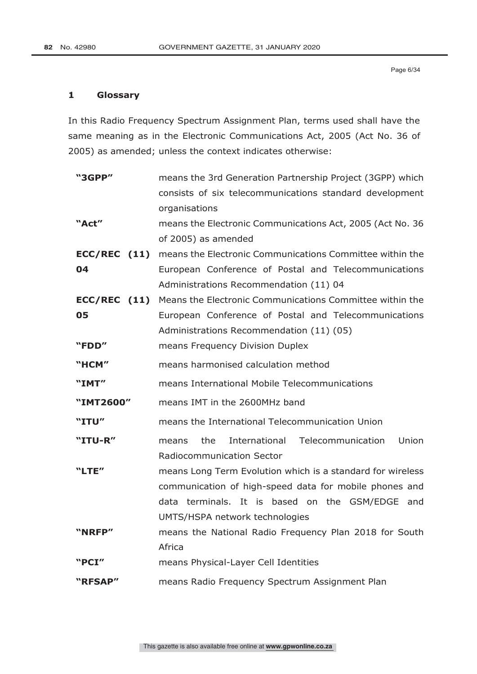# **1 Glossary**

In this Radio Frequency Spectrum Assignment Plan, terms used shall have the same meaning as in the Electronic Communications Act, 2005 (Act No. 36 of 2005) as amended; unless the context indicates otherwise:

| "3GPP"         | means the 3rd Generation Partnership Project (3GPP) which   |  |  |  |
|----------------|-------------------------------------------------------------|--|--|--|
|                | consists of six telecommunications standard development     |  |  |  |
|                | organisations                                               |  |  |  |
| "Act"          | means the Electronic Communications Act, 2005 (Act No. 36   |  |  |  |
|                | of 2005) as amended                                         |  |  |  |
| $ECC/REC$ (11) | means the Electronic Communications Committee within the    |  |  |  |
| 04             | European Conference of Postal and Telecommunications        |  |  |  |
|                | Administrations Recommendation (11) 04                      |  |  |  |
| $ECC/REC$ (11) | Means the Electronic Communications Committee within the    |  |  |  |
| 05             | European Conference of Postal and Telecommunications        |  |  |  |
|                | Administrations Recommendation (11) (05)                    |  |  |  |
| "FDD"          | means Frequency Division Duplex                             |  |  |  |
| "HCM"          | means harmonised calculation method                         |  |  |  |
| "IMT"          | means International Mobile Telecommunications               |  |  |  |
| "IMT2600"      | means IMT in the 2600MHz band                               |  |  |  |
| "ITU"          | means the International Telecommunication Union             |  |  |  |
| "ITU-R"        | Union<br>the<br>International<br>Telecommunication<br>means |  |  |  |
|                | <b>Radiocommunication Sector</b>                            |  |  |  |
| "LTE"          | means Long Term Evolution which is a standard for wireless  |  |  |  |
|                | communication of high-speed data for mobile phones and      |  |  |  |
|                | data terminals. It is based on the GSM/EDGE and             |  |  |  |
|                | UMTS/HSPA network technologies                              |  |  |  |
| "NRFP"         | means the National Radio Frequency Plan 2018 for South      |  |  |  |
|                | Africa                                                      |  |  |  |
| "PCI"          | means Physical-Layer Cell Identities                        |  |  |  |
| "RFSAP"        | means Radio Frequency Spectrum Assignment Plan              |  |  |  |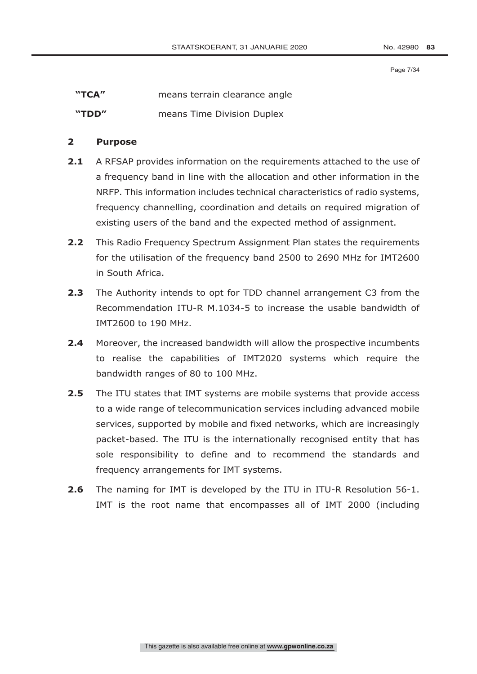Page 7/34

| "TCA" |  | means terrain clearance angle |
|-------|--|-------------------------------|
|-------|--|-------------------------------|

**"TDD" means Time Division Duplex** 

# **2 Purpose**

- **2.1** A RFSAP provides information on the requirements attached to the use of a frequency band in line with the allocation and other information in the NRFP. This information includes technical characteristics of radio systems, frequency channelling, coordination and details on required migration of existing users of the band and the expected method of assignment.
- **2.2** This Radio Frequency Spectrum Assignment Plan states the requirements for the utilisation of the frequency band 2500 to 2690 MHz for IMT2600 in South Africa.
- **2.3** The Authority intends to opt for TDD channel arrangement C3 from the Recommendation ITU-R M.1034-5 to increase the usable bandwidth of IMT2600 to 190 MHz.
- **2.4** Moreover, the increased bandwidth will allow the prospective incumbents to realise the capabilities of IMT2020 systems which require the bandwidth ranges of 80 to 100 MHz.
- **2.5** The ITU states that IMT systems are mobile systems that provide access to a wide range of telecommunication services including advanced mobile services, supported by mobile and fixed networks, which are increasingly packet-based. The ITU is the internationally recognised entity that has sole responsibility to define and to recommend the standards and frequency arrangements for IMT systems.
- **2.6** The naming for IMT is developed by the ITU in ITU-R Resolution 56-1. IMT is the root name that encompasses all of IMT 2000 (including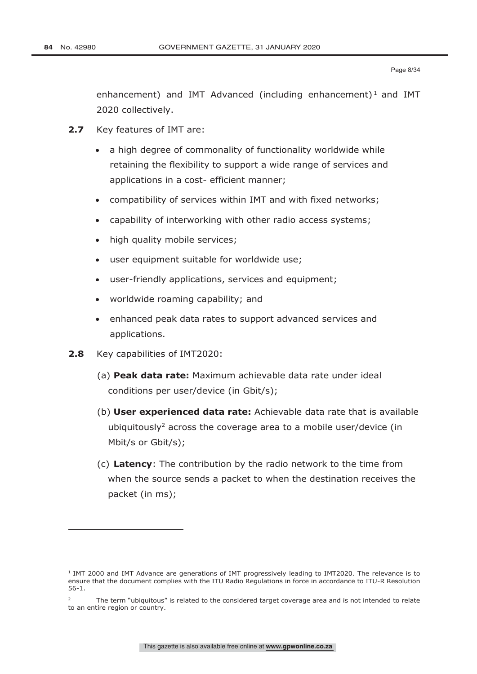-

enhancement) and IMT Advanced (including enhancement)<sup>1</sup> and IMT 2020 collectively.

- **2.7** Key features of IMT are:
	- a high degree of commonality of functionality worldwide while retaining the flexibility to support a wide range of services and applications in a cost- efficient manner;
	- compatibility of services within IMT and with fixed networks;
	- capability of interworking with other radio access systems;
	- high quality mobile services;
	- user equipment suitable for worldwide use;
	- user-friendly applications, services and equipment;
	- worldwide roaming capability; and
	- enhanced peak data rates to support advanced services and applications.
- **2.8** Key capabilities of IMT2020:
	- (a) **Peak data rate:** Maximum achievable data rate under ideal conditions per user/device (in Gbit/s);
	- (b) **User experienced data rate:** Achievable data rate that is available ubiquitously<sup>2</sup> across the coverage area to a mobile user/device (in Mbit/s or Gbit/s);
	- (c) **Latency**: The contribution by the radio network to the time from when the source sends a packet to when the destination receives the packet (in ms);

<sup>&</sup>lt;sup>1</sup> IMT 2000 and IMT Advance are generations of IMT progressively leading to IMT2020. The relevance is to ensure that the document complies with the ITU Radio Regulations in force in accordance to ITU-R Resolution 56-1.

<sup>&</sup>lt;sup>2</sup> The term "ubiquitous" is related to the considered target coverage area and is not intended to relate to an entire region or country.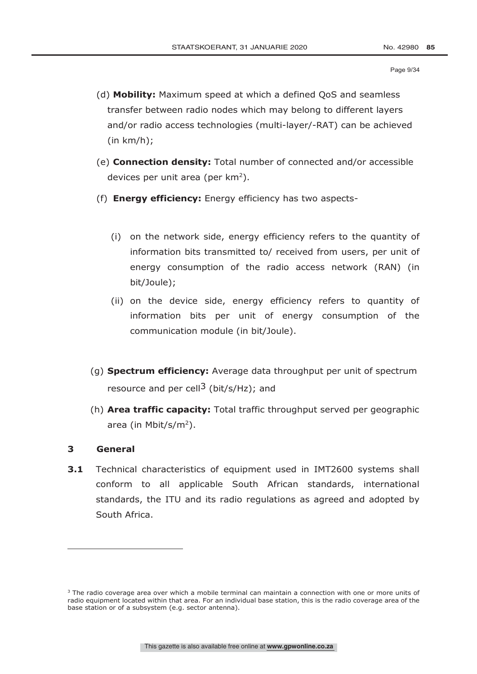- (d) **Mobility:** Maximum speed at which a defined QoS and seamless transfer between radio nodes which may belong to different layers and/or radio access technologies (multi-layer/-RAT) can be achieved  $(in km/h);$
- (e) **Connection density:** Total number of connected and/or accessible devices per unit area (per km<sup>2</sup>).
- (f) **Energy efficiency:** Energy efficiency has two aspects-
	- (i) on the network side, energy efficiency refers to the quantity of information bits transmitted to/ received from users, per unit of energy consumption of the radio access network (RAN) (in bit/Joule);
	- (ii) on the device side, energy efficiency refers to quantity of information bits per unit of energy consumption of the communication module (in bit/Joule).
- (g) **Spectrum efficiency:** Average data throughput per unit of spectrum resource and per cell<sup>3</sup> (bit/s/Hz); and
- (h) **Area traffic capacity:** Total traffic throughput served per geographic area (in Mbit/s/m<sup>2</sup>).

# **3 General**

-

**3.1** Technical characteristics of equipment used in IMT2600 systems shall conform to all applicable South African standards, international standards, the ITU and its radio regulations as agreed and adopted by South Africa.

<sup>&</sup>lt;sup>3</sup> The radio coverage area over which a mobile terminal can maintain a connection with one or more units of radio equipment located within that area. For an individual base station, this is the radio coverage area of the base station or of a subsystem (e.g. sector antenna).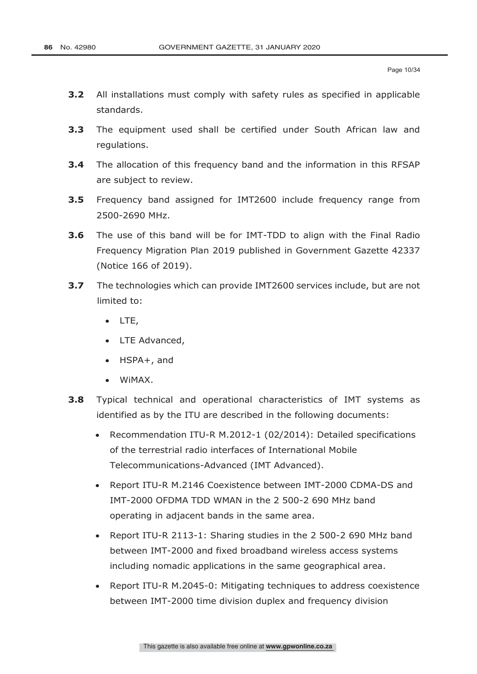- **3.2** All installations must comply with safety rules as specified in applicable standards.
- **3.3** The equipment used shall be certified under South African law and regulations.
- **3.4** The allocation of this frequency band and the information in this RFSAP are subject to review.
- **3.5** Frequency band assigned for IMT2600 include frequency range from 2500-2690 MHz.
- **3.6** The use of this band will be for IMT-TDD to align with the Final Radio Frequency Migration Plan 2019 published in Government Gazette 42337 (Notice 166 of 2019).
- **3.7** The technologies which can provide IMT2600 services include, but are not limited to:
	- LTE,
	- LTE Advanced,
	- HSPA+, and
	- WiMAX.
- **3.8** Typical technical and operational characteristics of IMT systems as identified as by the ITU are described in the following documents:
	- Recommendation ITU-R M.2012-1 (02/2014): Detailed specifications of the terrestrial radio interfaces of International Mobile Telecommunications-Advanced (IMT Advanced).
	- Report ITU-R M.2146 Coexistence between IMT-2000 CDMA-DS and IMT-2000 OFDMA TDD WMAN in the 2 500-2 690 MHz band operating in adjacent bands in the same area.
	- Report ITU-R 2113-1: Sharing studies in the 2 500-2 690 MHz band between IMT-2000 and fixed broadband wireless access systems including nomadic applications in the same geographical area.
	- Report ITU-R M.2045-0: Mitigating techniques to address coexistence between IMT-2000 time division duplex and frequency division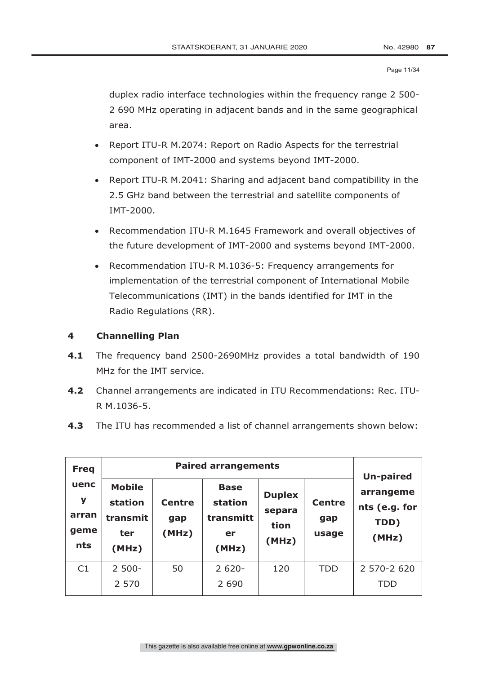Page 11/34

duplex radio interface technologies within the frequency range 2 500- 2 690 MHz operating in adjacent bands and in the same geographical area.

- Report ITU-R M.2074: Report on Radio Aspects for the terrestrial component of IMT-2000 and systems beyond IMT-2000.
- Report ITU-R M.2041: Sharing and adjacent band compatibility in the 2.5 GHz band between the terrestrial and satellite components of IMT-2000.
- Recommendation ITU-R M.1645 Framework and overall objectives of the future development of IMT-2000 and systems beyond IMT-2000.
- Recommendation ITU-R M.1036-5: Frequency arrangements for implementation of the terrestrial component of International Mobile Telecommunications (IMT) in the bands identified for IMT in the Radio Regulations (RR).

# **4 Channelling Plan**

- **4.1** The frequency band 2500-2690MHz provides a total bandwidth of 190 MHz for the IMT service.
- **4.2** Channel arrangements are indicated in ITU Recommendations: Rec. ITU-R M.1036-5.
- **4.3** The ITU has recommended a list of channel arrangements shown below:

| <b>Freq</b>                              |                                                      | Un-paired                     |                                                    |                                          |                               |                                             |
|------------------------------------------|------------------------------------------------------|-------------------------------|----------------------------------------------------|------------------------------------------|-------------------------------|---------------------------------------------|
| uenc<br>y<br>arran<br>qeme<br><b>nts</b> | <b>Mobile</b><br>station<br>transmit<br>ter<br>(MHz) | <b>Centre</b><br>gap<br>(MHz) | <b>Base</b><br>station<br>transmitt<br>er<br>(MHz) | <b>Duplex</b><br>separa<br>tion<br>(MHz) | <b>Centre</b><br>gap<br>usage | arrangeme<br>nts (e.g. for<br>TDD)<br>(MHz) |
| C <sub>1</sub>                           | $2500 -$                                             | 50                            | $2620 -$                                           | 120                                      | TDD                           | 2 570-2 620                                 |
|                                          | 2 5 7 0                                              |                               | 2 6 9 0                                            |                                          |                               | TDD                                         |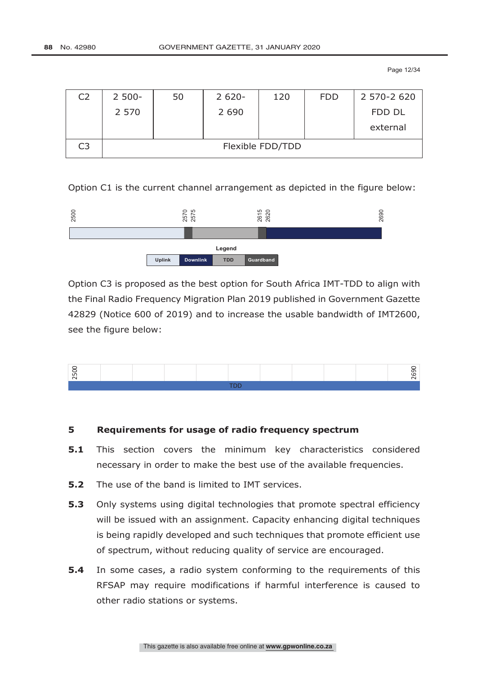Page 12/34

| C <sub>2</sub> | $2500 -$         | 50 | $2620 -$ | 120 | <b>FDD</b> | 2 570-2 620 |  |  |
|----------------|------------------|----|----------|-----|------------|-------------|--|--|
|                | 2 5 7 0          |    | 2 6 9 0  |     |            | FDD DL      |  |  |
|                |                  |    |          |     |            | external    |  |  |
| C <sub>3</sub> | Flexible FDD/TDD |    |          |     |            |             |  |  |

Option C1 is the current channel arrangement as depicted in the figure below:



Option C3 is proposed as the best option for South Africa IMT-TDD to align with the Final Radio Frequency Migration Plan 2019 published in Government Gazette 42829 (Notice 600 of 2019) and to increase the usable bandwidth of IMT2600, see the figure below:



# **5 Requirements for usage of radio frequency spectrum**

- **5.1** This section covers the minimum key characteristics considered necessary in order to make the best use of the available frequencies.
- **5.2** The use of the band is limited to IMT services.
- **5.3** Only systems using digital technologies that promote spectral efficiency will be issued with an assignment. Capacity enhancing digital techniques is being rapidly developed and such techniques that promote efficient use of spectrum, without reducing quality of service are encouraged.
- **5.4** In some cases, a radio system conforming to the requirements of this RFSAP may require modifications if harmful interference is caused to other radio stations or systems.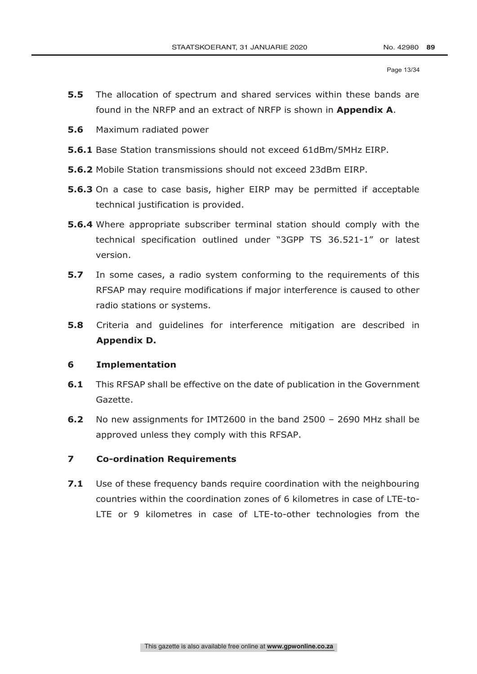- **5.5** The allocation of spectrum and shared services within these bands are found in the NRFP and an extract of NRFP is shown in **Appendix A**.
- **5.6** Maximum radiated power
- **5.6.1** Base Station transmissions should not exceed 61dBm/5MHz EIRP.
- **5.6.2** Mobile Station transmissions should not exceed 23dBm EIRP.
- **5.6.3** On a case to case basis, higher EIRP may be permitted if acceptable technical justification is provided.
- **5.6.4** Where appropriate subscriber terminal station should comply with the technical specification outlined under "3GPP TS 36.521-1" or latest version.
- **5.7** In some cases, a radio system conforming to the requirements of this RFSAP may require modifications if major interference is caused to other radio stations or systems.
- **5.8** Criteria and guidelines for interference mitigation are described in **Appendix D.**

### **6 Implementation**

- **6.1** This RFSAP shall be effective on the date of publication in the Government Gazette.
- **6.2** No new assignments for IMT2600 in the band 2500 2690 MHz shall be approved unless they comply with this RFSAP.

### **7 Co-ordination Requirements**

**7.1** Use of these frequency bands require coordination with the neighbouring countries within the coordination zones of 6 kilometres in case of LTE-to-LTE or 9 kilometres in case of LTE-to-other technologies from the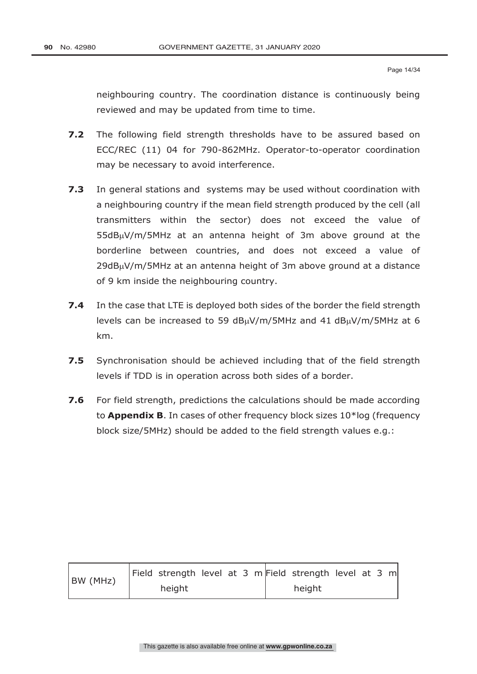neighbouring country. The coordination distance is continuously being reviewed and may be updated from time to time.

- **7.2** The following field strength thresholds have to be assured based on ECC/REC (11) 04 for 790-862MHz. Operator-to-operator coordination may be necessary to avoid interference.
- **7.3** In general stations and systems may be used without coordination with a neighbouring country if the mean field strength produced by the cell (all transmitters within the sector) does not exceed the value of  $55dB<sub>\mu</sub>V/m/5MHz$  at an antenna height of 3m above ground at the borderline between countries, and does not exceed a value of  $29d$ B $\mu$ V/m/5MHz at an antenna height of 3m above ground at a distance of 9 km inside the neighbouring country.
- **7.4** In the case that LTE is deployed both sides of the border the field strength levels can be increased to 59  $dB<sub>\mu</sub>V/m/5MHz$  and 41  $dB<sub>\mu</sub>V/m/5MHz$  at 6 km.
- **7.5** Synchronisation should be achieved including that of the field strength levels if TDD is in operation across both sides of a border.
- **7.6** For field strength, predictions the calculations should be made according to **Appendix B**. In cases of other frequency block sizes 10\*log (frequency block size/5MHz) should be added to the field strength values e.g.:

| BW (MHz) |        |  |  | Field strength level at 3 m Field strength level at 3 m |  |  |
|----------|--------|--|--|---------------------------------------------------------|--|--|
|          | height |  |  | height                                                  |  |  |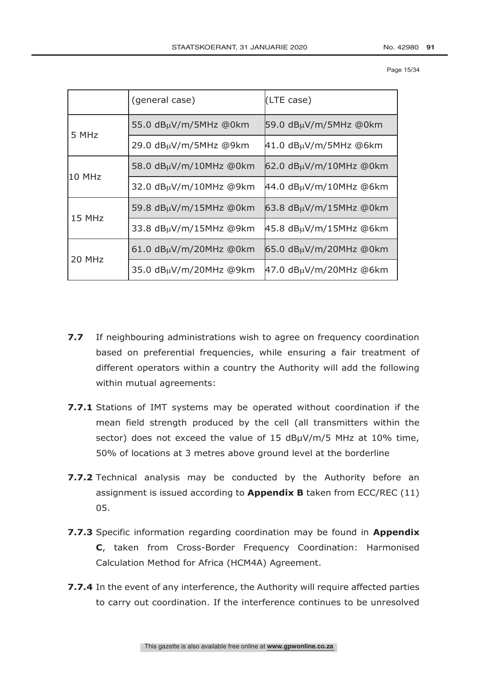Page 15/34

|          | (general case)                 | (LTE case)                     |
|----------|--------------------------------|--------------------------------|
|          | 55.0 dBµV/m/5MHz @0km          | 59.0 dBµV/m/5MHz @0km          |
| 5 MHz    | 29.0 dBµV/m/5MHz @9km          | $41.0$ dB $\mu$ V/m/5MHz @6km  |
|          | 58.0 dBµV/m/10MHz @0km         | $62.0$ dB $\mu$ V/m/10MHz @0km |
| l10 MHz  | 32.0 dBµV/m/10MHz @9km         | $44.0$ dB $\mu$ V/m/10MHz @6km |
| $15$ MHz | 59.8 dBµV/m/15MHz @0km         | $63.8$ dB $\mu$ V/m/15MHz @0km |
|          | 33.8 dBµV/m/15MHz @9km         | $45.8$ dB $\mu$ V/m/15MHz @6km |
| 20 MHz   | $61.0$ dB $\mu$ V/m/20MHz @0km | $65.0$ dB $\mu$ V/m/20MHz @0km |
|          | 35.0 dBµV/m/20MHz @9km         | $47.0$ dB $\mu$ V/m/20MHz @6km |

- **7.7** If neighbouring administrations wish to agree on frequency coordination based on preferential frequencies, while ensuring a fair treatment of different operators within a country the Authority will add the following within mutual agreements:
- **7.7.1** Stations of IMT systems may be operated without coordination if the mean field strength produced by the cell (all transmitters within the sector) does not exceed the value of 15 dBµV/m/5 MHz at 10% time, 50% of locations at 3 metres above ground level at the borderline
- **7.7.2** Technical analysis may be conducted by the Authority before an assignment is issued according to **Appendix B** taken from ECC/REC (11) 05.
- **7.7.3** Specific information regarding coordination may be found in **Appendix C**, taken from Cross-Border Frequency Coordination: Harmonised Calculation Method for Africa (HCM4A) Agreement.
- **7.7.4** In the event of any interference, the Authority will require affected parties to carry out coordination. If the interference continues to be unresolved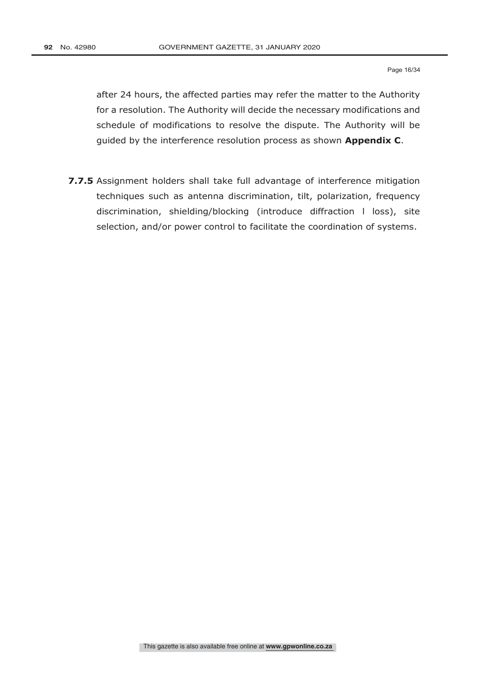after 24 hours, the affected parties may refer the matter to the Authority for a resolution. The Authority will decide the necessary modifications and schedule of modifications to resolve the dispute. The Authority will be guided by the interference resolution process as shown **Appendix C**.

**7.7.5** Assignment holders shall take full advantage of interference mitigation techniques such as antenna discrimination, tilt, polarization, frequency discrimination, shielding/blocking (introduce diffraction l loss), site selection, and/or power control to facilitate the coordination of systems.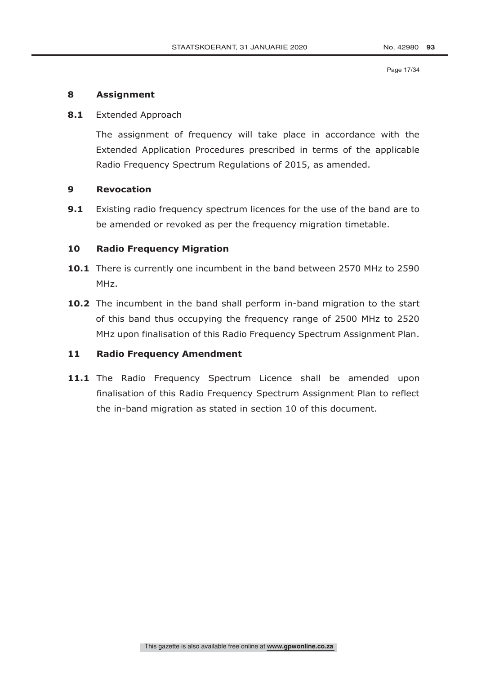### **8 Assignment**

### **8.1** Extended Approach

The assignment of frequency will take place in accordance with the Extended Application Procedures prescribed in terms of the applicable Radio Frequency Spectrum Regulations of 2015, as amended.

### **9 Revocation**

**9.1** Existing radio frequency spectrum licences for the use of the band are to be amended or revoked as per the frequency migration timetable.

### **10 Radio Frequency Migration**

- **10.1** There is currently one incumbent in the band between 2570 MHz to 2590 MHz.
- **10.2** The incumbent in the band shall perform in-band migration to the start of this band thus occupying the frequency range of 2500 MHz to 2520 MHz upon finalisation of this Radio Frequency Spectrum Assignment Plan.

### **11 Radio Frequency Amendment**

11.1 The Radio Frequency Spectrum Licence shall be amended upon finalisation of this Radio Frequency Spectrum Assignment Plan to reflect the in-band migration as stated in section 10 of this document.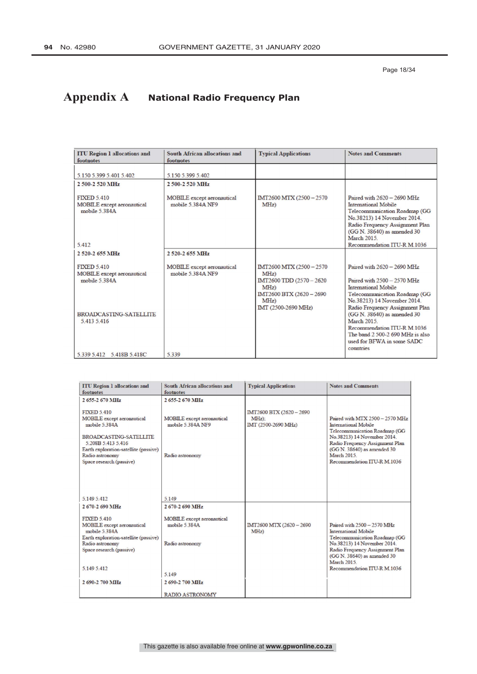# **Appendix A National Radio Frequency Plan**

| <b>ITU Region 1 allocations and</b><br>footnotes                                                                         | South African allocations and<br>footnotes             | <b>Typical Applications</b>                                                                                                             | <b>Notes and Comments</b>                                                                                                                                                                                                                                                                                                                                        |
|--------------------------------------------------------------------------------------------------------------------------|--------------------------------------------------------|-----------------------------------------------------------------------------------------------------------------------------------------|------------------------------------------------------------------------------------------------------------------------------------------------------------------------------------------------------------------------------------------------------------------------------------------------------------------------------------------------------------------|
| 5.150 5.399 5.401 5.402                                                                                                  | 5.150 5.399 5.402                                      |                                                                                                                                         |                                                                                                                                                                                                                                                                                                                                                                  |
| 2.500-2.520 MHz                                                                                                          | 2 500-2 520 MHz                                        |                                                                                                                                         |                                                                                                                                                                                                                                                                                                                                                                  |
| <b>FIXED 5.410</b><br><b>MOBILE</b> except aeronautical<br>mobile $5.384A$<br>5.412                                      | <b>MOBILE</b> except aeronautical<br>mobile 5 384A NF9 | IMT2600 MTX (2500 - 2570)<br>$MHz$ )                                                                                                    | Paired with 2620 - 2690 MHz<br>International Mobile<br>Telecommunication Roadmap (GG<br>No.38213) 14 November 2014.<br>Radio Frequency Assignment Plan<br>(GG N. 38640) as amended 30<br><b>March 2015</b><br>Recommendation ITU-R M 1036                                                                                                                        |
| 2 520-2 655 MHz                                                                                                          | 2 520-2 655 MHz                                        |                                                                                                                                         |                                                                                                                                                                                                                                                                                                                                                                  |
| <b>FIXED 5.410</b><br><b>MOBILE</b> except aeronautical<br>mobile 5.384A<br><b>BROADCASTING-SATELLITE</b><br>5.413 5.416 | <b>MOBILE</b> except aeronautical<br>mobile 5.384A NF9 | IMT2600 MTX (2500 - 2570)<br>$MHz$ )<br>IMT2600 TDD (2570 - 2620)<br>MHz<br>IMT2600 BTX (2620 - 2690)<br>$MHz$ )<br>IMT (2500-2690 MHz) | Paired with 2620 - 2690 MHz<br>Paired with $2500 - 2570$ MHz<br><b>International Mobile</b><br>Telecommunication Roadmap (GG<br>No.38213) 14 November 2014.<br>Radio Frequency Assignment Plan<br>(GG N. 38640) as amended 30<br><b>March 2015</b><br>Recommendation ITU-R M 1036<br>The band 2 500-2 690 MHz is also<br>used for BFWA in some SADC<br>countries |
| 5.339 5.412 5.418B 5.418C                                                                                                | 5.339                                                  |                                                                                                                                         |                                                                                                                                                                                                                                                                                                                                                                  |

| <b>ITU Region 1 allocations and</b><br>footnotes                                                                                                                                                                       | <b>South African allocations and</b><br>footnotes                         | <b>Typical Applications</b>                                | <b>Notes and Comments</b>                                                                                                                                                                                                                            |
|------------------------------------------------------------------------------------------------------------------------------------------------------------------------------------------------------------------------|---------------------------------------------------------------------------|------------------------------------------------------------|------------------------------------------------------------------------------------------------------------------------------------------------------------------------------------------------------------------------------------------------------|
| 2 655-2 670 MHz                                                                                                                                                                                                        | 2655-2670 MHz                                                             |                                                            |                                                                                                                                                                                                                                                      |
| <b>FIXED 5410</b><br><b>MOBILE</b> except aeronautical<br>mobile 5.384A<br><b>BROADCASTING-SATELLITE</b><br>5.208B 5.413 5.416<br>Earth exploration-satellite (passive)<br>Radio astronomy<br>Space research (passive) | <b>MOBILE</b> except aeronautical<br>mobile 5.384A NF9<br>Radio astronomy | IMT2600 BTX (2620 - 2690<br>$MHz$ :<br>IMT (2500-2690 MHz) | Paired with MTX 2500 - 2570 MHz<br><b>International Mobile</b><br>Telecommunication Roadmap (GG<br>No.38213) 14 November 2014.<br>Radio Frequency Assignment Plan<br>(GG N. 38640) as amended 30<br><b>March 2015</b><br>Recommendation ITU-R M.1036 |
| 5 149 5 412                                                                                                                                                                                                            | 5149                                                                      |                                                            |                                                                                                                                                                                                                                                      |
| 2 670-2 690 MHz                                                                                                                                                                                                        | 2670-2690 MHz                                                             |                                                            |                                                                                                                                                                                                                                                      |
| <b>FIXED 5.410</b><br>MOBILE except aeronautical<br>mobile 5384A<br>Earth exploration-satellite (passive)<br>Radio astronomy                                                                                           | <b>MOBILE</b> except aeronautical<br>mobile 5.384A<br>Radio astronomy     | IMT2600 MTX (2620 - 2690)<br>MHz                           | Paired with $2500 - 2570$ MHz<br>International Mobile<br>Telecommunication Roadmap (GG<br>No.38213) 14 November 2014.                                                                                                                                |
| Space research (passive)                                                                                                                                                                                               |                                                                           |                                                            | Radio Frequency Assignment Plan<br>(GG N. 38640) as amended 30<br><b>March 2015</b> .                                                                                                                                                                |
| 5.149 5.412                                                                                                                                                                                                            | 5.149                                                                     |                                                            | Recommendation ITU-R M.1036                                                                                                                                                                                                                          |
| 2 690-2 700 MHz                                                                                                                                                                                                        | 2690-2700 MHz                                                             |                                                            |                                                                                                                                                                                                                                                      |
|                                                                                                                                                                                                                        | <b>RADIO ASTRONOMY</b>                                                    |                                                            |                                                                                                                                                                                                                                                      |

This gazette is also available free online at **www.gpwonline.co.za**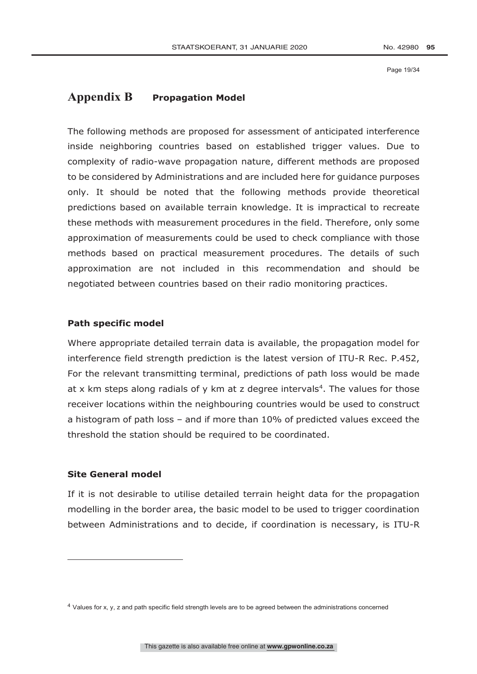Page 19/34

# **Appendix B Propagation Model**

The following methods are proposed for assessment of anticipated interference inside neighboring countries based on established trigger values. Due to complexity of radio-wave propagation nature, different methods are proposed to be considered by Administrations and are included here for guidance purposes only. It should be noted that the following methods provide theoretical predictions based on available terrain knowledge. It is impractical to recreate these methods with measurement procedures in the field. Therefore, only some approximation of measurements could be used to check compliance with those methods based on practical measurement procedures. The details of such approximation are not included in this recommendation and should be negotiated between countries based on their radio monitoring practices.

# **Path specific model**

Where appropriate detailed terrain data is available, the propagation model for interference field strength prediction is the latest version of ITU-R Rec. P.452, For the relevant transmitting terminal, predictions of path loss would be made at x km steps along radials of  $y$  km at z degree intervals<sup>4</sup>. The values for those receiver locations within the neighbouring countries would be used to construct a histogram of path loss – and if more than 10% of predicted values exceed the threshold the station should be required to be coordinated.

# **Site General model**

<u>.</u>

If it is not desirable to utilise detailed terrain height data for the propagation modelling in the border area, the basic model to be used to trigger coordination between Administrations and to decide, if coordination is necessary, is ITU-R

<sup>4</sup> Values for x, y, z and path specific field strength levels are to be agreed between the administrations concerned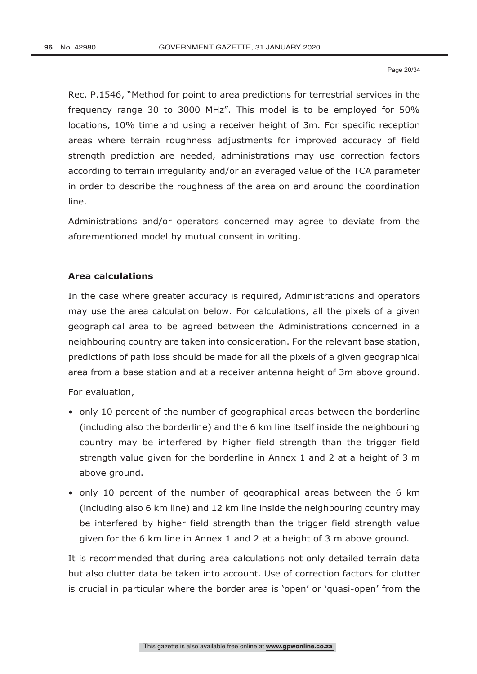Rec. P.1546, "Method for point to area predictions for terrestrial services in the frequency range 30 to 3000 MHz". This model is to be employed for 50% locations, 10% time and using a receiver height of 3m. For specific reception areas where terrain roughness adjustments for improved accuracy of field strength prediction are needed, administrations may use correction factors according to terrain irregularity and/or an averaged value of the TCA parameter in order to describe the roughness of the area on and around the coordination line.

Administrations and/or operators concerned may agree to deviate from the aforementioned model by mutual consent in writing.

#### **Area calculations**

In the case where greater accuracy is required, Administrations and operators may use the area calculation below. For calculations, all the pixels of a given geographical area to be agreed between the Administrations concerned in a neighbouring country are taken into consideration. For the relevant base station, predictions of path loss should be made for all the pixels of a given geographical area from a base station and at a receiver antenna height of 3m above ground.

For evaluation,

- only 10 percent of the number of geographical areas between the borderline (including also the borderline) and the 6 km line itself inside the neighbouring country may be interfered by higher field strength than the trigger field strength value given for the borderline in Annex 1 and 2 at a height of 3 m above ground.
- only 10 percent of the number of geographical areas between the 6 km (including also 6 km line) and 12 km line inside the neighbouring country may be interfered by higher field strength than the trigger field strength value given for the 6 km line in Annex 1 and 2 at a height of 3 m above ground.

It is recommended that during area calculations not only detailed terrain data but also clutter data be taken into account. Use of correction factors for clutter is crucial in particular where the border area is 'open' or 'quasi-open' from the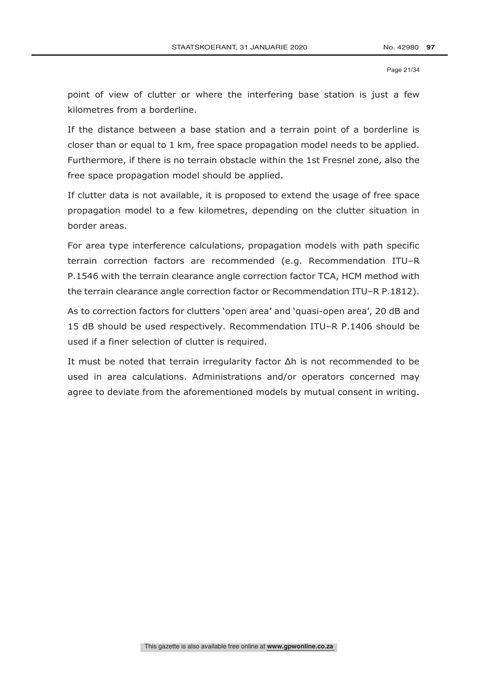Page 21/34

point of view of clutter or where the interfering base station is just a few kilometres from a borderline.

If the distance between a base station and a terrain point of a borderline is closer than or equal to 1 km, free space propagation model needs to be applied. Furthermore, if there is no terrain obstacle within the 1st Fresnel zone, also the free space propagation model should be applied.

If clutter data is not available, it is proposed to extend the usage of free space propagation model to a few kilometres, depending on the clutter situation in border areas.

For area type interference calculations, propagation models with path specific terrain correction factors are recommended (e.g. Recommendation ITU–R P.1546 with the terrain clearance angle correction factor TCA, HCM method with the terrain clearance angle correction factor or Recommendation ITU–R P.1812).

As to correction factors for clutters 'open area' and 'quasi-open area', 20 dB and 15 dB should be used respectively. Recommendation ITU–R P.1406 should be used if a finer selection of clutter is required.

It must be noted that terrain irregularity factor Δh is not recommended to be used in area calculations. Administrations and/or operators concerned may agree to deviate from the aforementioned models by mutual consent in writing.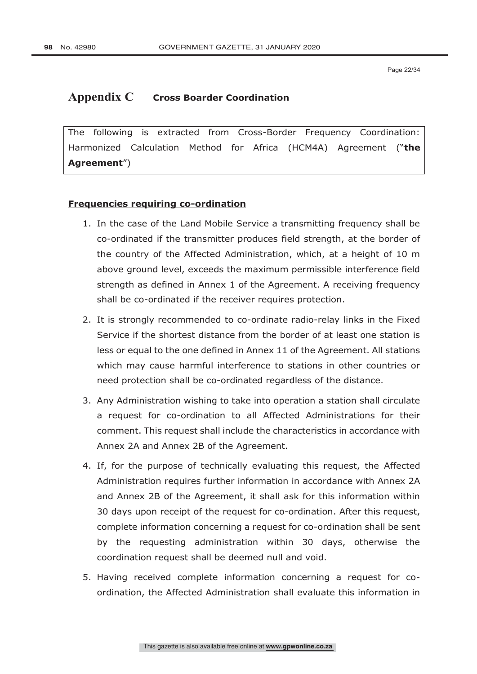Page 22/34

# **Appendix C Cross Boarder Coordination**

The following is extracted from Cross-Border Frequency Coordination: Harmonized Calculation Method for Africa (HCM4A) Agreement ("**the Agreement**")

# **Frequencies requiring co-ordination**

- 1. In the case of the Land Mobile Service a transmitting frequency shall be co-ordinated if the transmitter produces field strength, at the border of the country of the Affected Administration, which, at a height of 10 m above ground level, exceeds the maximum permissible interference field strength as defined in Annex 1 of the Agreement. A receiving frequency shall be co-ordinated if the receiver requires protection.
- 2. It is strongly recommended to co-ordinate radio-relay links in the Fixed Service if the shortest distance from the border of at least one station is less or equal to the one defined in Annex 11 of the Agreement. All stations which may cause harmful interference to stations in other countries or need protection shall be co-ordinated regardless of the distance.
- 3. Any Administration wishing to take into operation a station shall circulate a request for co-ordination to all Affected Administrations for their comment. This request shall include the characteristics in accordance with Annex 2A and Annex 2B of the Agreement.
- 4. If, for the purpose of technically evaluating this request, the Affected Administration requires further information in accordance with Annex 2A and Annex 2B of the Agreement, it shall ask for this information within 30 days upon receipt of the request for co-ordination. After this request, complete information concerning a request for co-ordination shall be sent by the requesting administration within 30 days, otherwise the coordination request shall be deemed null and void.
- 5. Having received complete information concerning a request for coordination, the Affected Administration shall evaluate this information in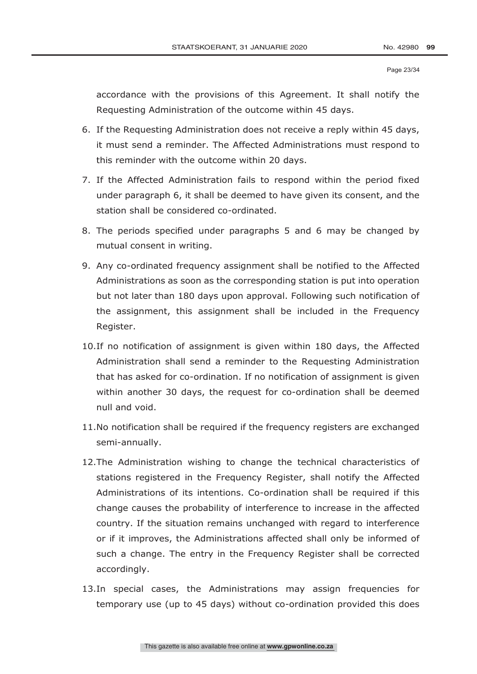Page 23/34

accordance with the provisions of this Agreement. It shall notify the Requesting Administration of the outcome within 45 days.

- 6. If the Requesting Administration does not receive a reply within 45 days, it must send a reminder. The Affected Administrations must respond to this reminder with the outcome within 20 days.
- 7. If the Affected Administration fails to respond within the period fixed under paragraph 6, it shall be deemed to have given its consent, and the station shall be considered co-ordinated.
- 8. The periods specified under paragraphs 5 and 6 may be changed by mutual consent in writing.
- 9. Any co-ordinated frequency assignment shall be notified to the Affected Administrations as soon as the corresponding station is put into operation but not later than 180 days upon approval. Following such notification of the assignment, this assignment shall be included in the Frequency Register.
- 10.If no notification of assignment is given within 180 days, the Affected Administration shall send a reminder to the Requesting Administration that has asked for co-ordination. If no notification of assignment is given within another 30 days, the request for co-ordination shall be deemed null and void.
- 11.No notification shall be required if the frequency registers are exchanged semi-annually.
- 12.The Administration wishing to change the technical characteristics of stations registered in the Frequency Register, shall notify the Affected Administrations of its intentions. Co-ordination shall be required if this change causes the probability of interference to increase in the affected country. If the situation remains unchanged with regard to interference or if it improves, the Administrations affected shall only be informed of such a change. The entry in the Frequency Register shall be corrected accordingly.
- 13.In special cases, the Administrations may assign frequencies for temporary use (up to 45 days) without co-ordination provided this does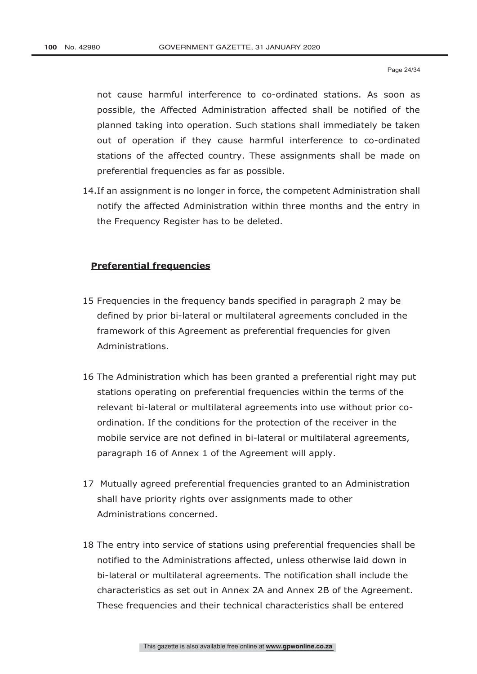not cause harmful interference to co-ordinated stations. As soon as possible, the Affected Administration affected shall be notified of the planned taking into operation. Such stations shall immediately be taken out of operation if they cause harmful interference to co-ordinated stations of the affected country. These assignments shall be made on preferential frequencies as far as possible.

14.If an assignment is no longer in force, the competent Administration shall notify the affected Administration within three months and the entry in the Frequency Register has to be deleted.

### **Preferential frequencies**

- 15 Frequencies in the frequency bands specified in paragraph 2 may be defined by prior bi-lateral or multilateral agreements concluded in the framework of this Agreement as preferential frequencies for given Administrations.
- 16 The Administration which has been granted a preferential right may put stations operating on preferential frequencies within the terms of the relevant bi-lateral or multilateral agreements into use without prior coordination. If the conditions for the protection of the receiver in the mobile service are not defined in bi-lateral or multilateral agreements, paragraph 16 of Annex 1 of the Agreement will apply.
- 17 Mutually agreed preferential frequencies granted to an Administration shall have priority rights over assignments made to other Administrations concerned.
- 18 The entry into service of stations using preferential frequencies shall be notified to the Administrations affected, unless otherwise laid down in bi-lateral or multilateral agreements. The notification shall include the characteristics as set out in Annex 2A and Annex 2B of the Agreement. These frequencies and their technical characteristics shall be entered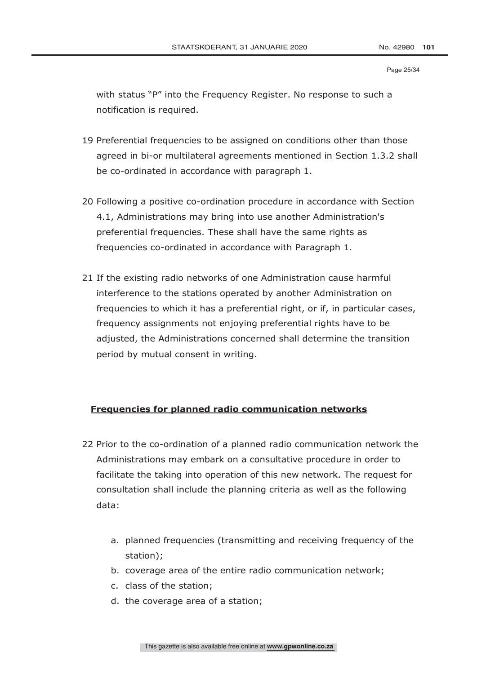#### Page 25/34

with status "P" into the Frequency Register. No response to such a notification is required.

- 19 Preferential frequencies to be assigned on conditions other than those agreed in bi-or multilateral agreements mentioned in Section 1.3.2 shall be co-ordinated in accordance with paragraph 1.
- 20 Following a positive co-ordination procedure in accordance with Section 4.1, Administrations may bring into use another Administration's preferential frequencies. These shall have the same rights as frequencies co-ordinated in accordance with Paragraph 1.
- 21 If the existing radio networks of one Administration cause harmful interference to the stations operated by another Administration on frequencies to which it has a preferential right, or if, in particular cases, frequency assignments not enjoying preferential rights have to be adjusted, the Administrations concerned shall determine the transition period by mutual consent in writing.

# **Frequencies for planned radio communication networks**

- 22 Prior to the co-ordination of a planned radio communication network the Administrations may embark on a consultative procedure in order to facilitate the taking into operation of this new network. The request for consultation shall include the planning criteria as well as the following data:
	- a. planned frequencies (transmitting and receiving frequency of the station);
	- b. coverage area of the entire radio communication network;
	- c. class of the station;
	- d. the coverage area of a station;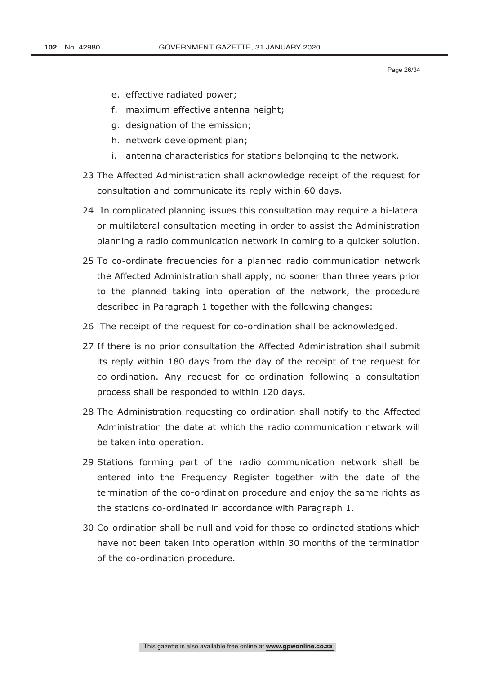Page 26/34

- e. effective radiated power;
- f. maximum effective antenna height;
- g. designation of the emission;
- h. network development plan;
- i. antenna characteristics for stations belonging to the network.
- 23 The Affected Administration shall acknowledge receipt of the request for consultation and communicate its reply within 60 days.
- 24 In complicated planning issues this consultation may require a bi-lateral or multilateral consultation meeting in order to assist the Administration planning a radio communication network in coming to a quicker solution.
- 25 To co-ordinate frequencies for a planned radio communication network the Affected Administration shall apply, no sooner than three years prior to the planned taking into operation of the network, the procedure described in Paragraph 1 together with the following changes:
- 26 The receipt of the request for co-ordination shall be acknowledged.
- 27 If there is no prior consultation the Affected Administration shall submit its reply within 180 days from the day of the receipt of the request for co-ordination. Any request for co-ordination following a consultation process shall be responded to within 120 days.
- 28 The Administration requesting co-ordination shall notify to the Affected Administration the date at which the radio communication network will be taken into operation.
- 29 Stations forming part of the radio communication network shall be entered into the Frequency Register together with the date of the termination of the co-ordination procedure and enjoy the same rights as the stations co-ordinated in accordance with Paragraph 1.
- 30 Co-ordination shall be null and void for those co-ordinated stations which have not been taken into operation within 30 months of the termination of the co-ordination procedure.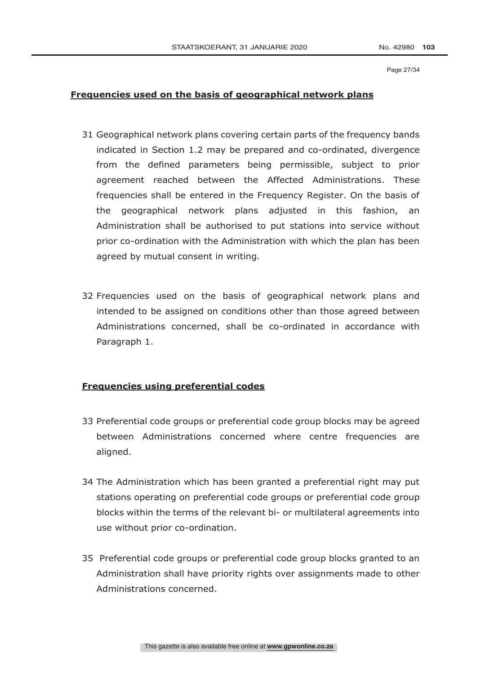Page 27/34

# **Frequencies used on the basis of geographical network plans**

- 31 Geographical network plans covering certain parts of the frequency bands indicated in Section 1.2 may be prepared and co-ordinated, divergence from the defined parameters being permissible, subject to prior agreement reached between the Affected Administrations. These frequencies shall be entered in the Frequency Register. On the basis of the geographical network plans adjusted in this fashion, an Administration shall be authorised to put stations into service without prior co-ordination with the Administration with which the plan has been agreed by mutual consent in writing.
- 32 Frequencies used on the basis of geographical network plans and intended to be assigned on conditions other than those agreed between Administrations concerned, shall be co-ordinated in accordance with Paragraph 1.

# **Frequencies using preferential codes**

- 33 Preferential code groups or preferential code group blocks may be agreed between Administrations concerned where centre frequencies are aligned.
- 34 The Administration which has been granted a preferential right may put stations operating on preferential code groups or preferential code group blocks within the terms of the relevant bi- or multilateral agreements into use without prior co-ordination.
- 35 Preferential code groups or preferential code group blocks granted to an Administration shall have priority rights over assignments made to other Administrations concerned.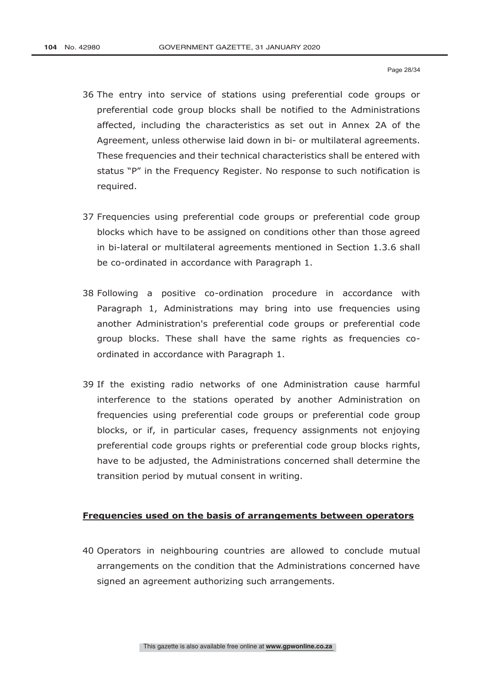- 36 The entry into service of stations using preferential code groups or preferential code group blocks shall be notified to the Administrations affected, including the characteristics as set out in Annex 2A of the Agreement, unless otherwise laid down in bi- or multilateral agreements. These frequencies and their technical characteristics shall be entered with status "P" in the Frequency Register. No response to such notification is required.
- 37 Frequencies using preferential code groups or preferential code group blocks which have to be assigned on conditions other than those agreed in bi-lateral or multilateral agreements mentioned in Section 1.3.6 shall be co-ordinated in accordance with Paragraph 1.
- 38 Following a positive co-ordination procedure in accordance with Paragraph 1, Administrations may bring into use frequencies using another Administration's preferential code groups or preferential code group blocks. These shall have the same rights as frequencies coordinated in accordance with Paragraph 1.
- 39 If the existing radio networks of one Administration cause harmful interference to the stations operated by another Administration on frequencies using preferential code groups or preferential code group blocks, or if, in particular cases, frequency assignments not enjoying preferential code groups rights or preferential code group blocks rights, have to be adjusted, the Administrations concerned shall determine the transition period by mutual consent in writing.

### **Frequencies used on the basis of arrangements between operators**

40 Operators in neighbouring countries are allowed to conclude mutual arrangements on the condition that the Administrations concerned have signed an agreement authorizing such arrangements.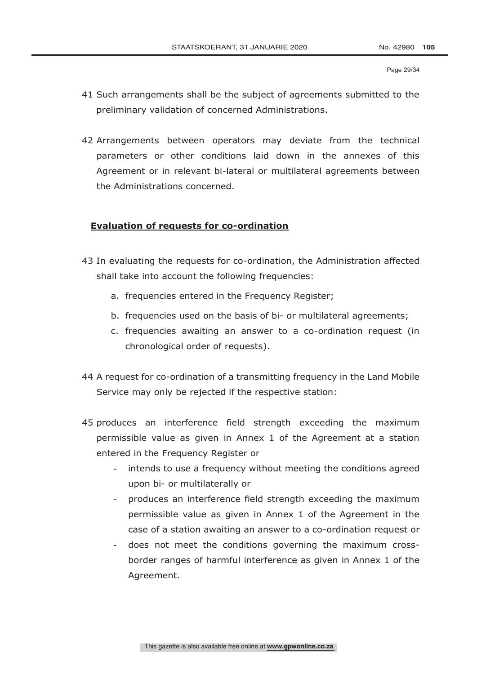- 41 Such arrangements shall be the subject of agreements submitted to the preliminary validation of concerned Administrations.
- 42 Arrangements between operators may deviate from the technical parameters or other conditions laid down in the annexes of this Agreement or in relevant bi-lateral or multilateral agreements between the Administrations concerned.

### **Evaluation of requests for co-ordination**

- 43 In evaluating the requests for co-ordination, the Administration affected shall take into account the following frequencies:
	- a. frequencies entered in the Frequency Register;
	- b. frequencies used on the basis of bi- or multilateral agreements;
	- c. frequencies awaiting an answer to a co-ordination request (in chronological order of requests).
- 44 A request for co-ordination of a transmitting frequency in the Land Mobile Service may only be rejected if the respective station:
- 45 produces an interference field strength exceeding the maximum permissible value as given in Annex 1 of the Agreement at a station entered in the Frequency Register or
	- intends to use a frequency without meeting the conditions agreed upon bi- or multilaterally or
	- produces an interference field strength exceeding the maximum permissible value as given in Annex 1 of the Agreement in the case of a station awaiting an answer to a co-ordination request or
	- does not meet the conditions governing the maximum crossborder ranges of harmful interference as given in Annex 1 of the Agreement.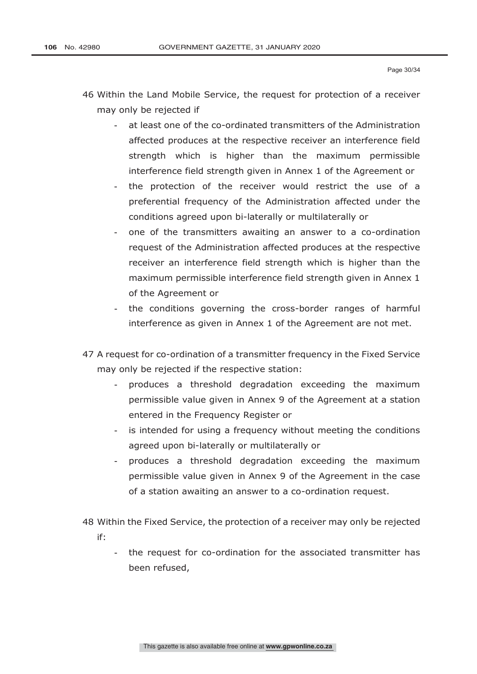Page 30/34

- 46 Within the Land Mobile Service, the request for protection of a receiver may only be rejected if
	- at least one of the co-ordinated transmitters of the Administration affected produces at the respective receiver an interference field strength which is higher than the maximum permissible interference field strength given in Annex 1 of the Agreement or
	- the protection of the receiver would restrict the use of a preferential frequency of the Administration affected under the conditions agreed upon bi-laterally or multilaterally or
	- one of the transmitters awaiting an answer to a co-ordination request of the Administration affected produces at the respective receiver an interference field strength which is higher than the maximum permissible interference field strength given in Annex 1 of the Agreement or
	- the conditions governing the cross-border ranges of harmful interference as given in Annex 1 of the Agreement are not met.
- 47 A request for co-ordination of a transmitter frequency in the Fixed Service may only be rejected if the respective station:
	- produces a threshold degradation exceeding the maximum permissible value given in Annex 9 of the Agreement at a station entered in the Frequency Register or
	- is intended for using a frequency without meeting the conditions agreed upon bi-laterally or multilaterally or
	- produces a threshold degradation exceeding the maximum permissible value given in Annex 9 of the Agreement in the case of a station awaiting an answer to a co-ordination request.

48 Within the Fixed Service, the protection of a receiver may only be rejected if:

- the request for co-ordination for the associated transmitter has been refused,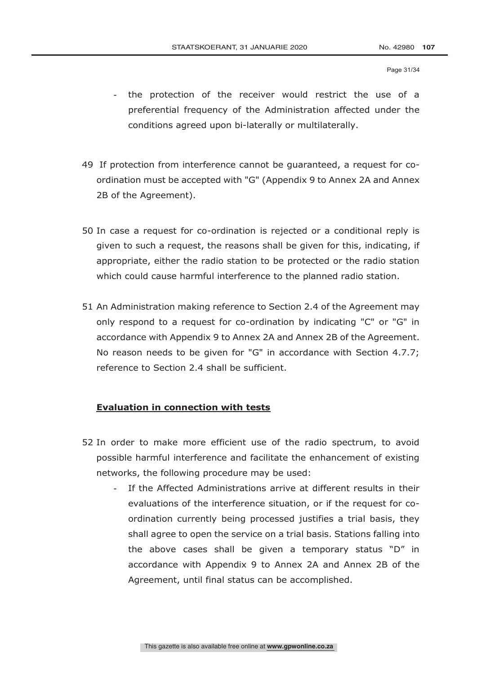Page 31/34

- the protection of the receiver would restrict the use of a preferential frequency of the Administration affected under the conditions agreed upon bi-laterally or multilaterally.
- 49 If protection from interference cannot be guaranteed, a request for coordination must be accepted with "G" (Appendix 9 to Annex 2A and Annex 2B of the Agreement).
- 50 In case a request for co-ordination is rejected or a conditional reply is given to such a request, the reasons shall be given for this, indicating, if appropriate, either the radio station to be protected or the radio station which could cause harmful interference to the planned radio station.
- 51 An Administration making reference to Section 2.4 of the Agreement may only respond to a request for co-ordination by indicating "C" or "G" in accordance with Appendix 9 to Annex 2A and Annex 2B of the Agreement. No reason needs to be given for "G" in accordance with Section 4.7.7; reference to Section 2.4 shall be sufficient.

### **Evaluation in connection with tests**

- 52 In order to make more efficient use of the radio spectrum, to avoid possible harmful interference and facilitate the enhancement of existing networks, the following procedure may be used:
	- If the Affected Administrations arrive at different results in their evaluations of the interference situation, or if the request for coordination currently being processed justifies a trial basis, they shall agree to open the service on a trial basis. Stations falling into the above cases shall be given a temporary status "D" in accordance with Appendix 9 to Annex 2A and Annex 2B of the Agreement, until final status can be accomplished.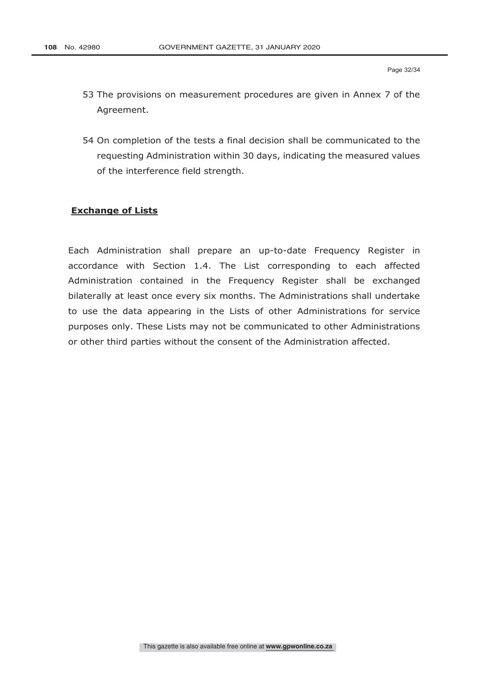- 53 The provisions on measurement procedures are given in Annex 7 of the Agreement.
- 54 On completion of the tests a final decision shall be communicated to the requesting Administration within 30 days, indicating the measured values of the interference field strength.

# **Exchange of Lists**

Each Administration shall prepare an up-to-date Frequency Register in accordance with Section 1.4. The List corresponding to each affected Administration contained in the Frequency Register shall be exchanged bilaterally at least once every six months. The Administrations shall undertake to use the data appearing in the Lists of other Administrations for service purposes only. These Lists may not be communicated to other Administrations or other third parties without the consent of the Administration affected.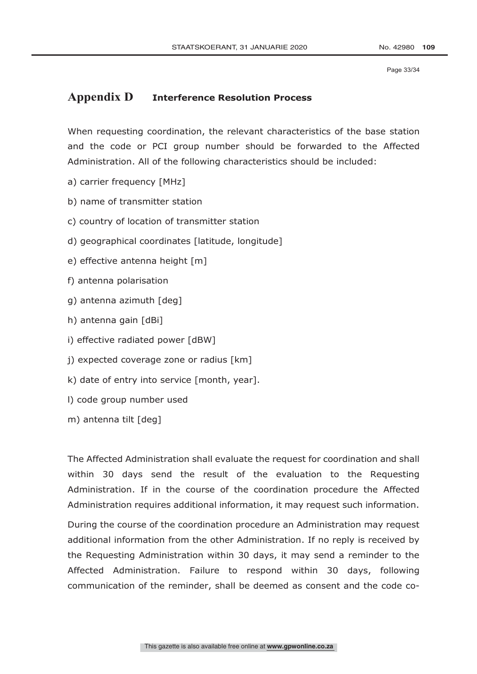Page 33/34

# **Appendix D Interference Resolution Process**

When requesting coordination, the relevant characteristics of the base station and the code or PCI group number should be forwarded to the Affected Administration. All of the following characteristics should be included:

- a) carrier frequency [MHz]
- b) name of transmitter station
- c) country of location of transmitter station
- d) geographical coordinates [latitude, longitude]
- e) effective antenna height [m]
- f) antenna polarisation
- g) antenna azimuth [deg]
- h) antenna gain [dBi]
- i) effective radiated power [dBW]
- j) expected coverage zone or radius [km]
- k) date of entry into service [month, year].
- l) code group number used
- m) antenna tilt [deg]

The Affected Administration shall evaluate the request for coordination and shall within 30 days send the result of the evaluation to the Requesting Administration. If in the course of the coordination procedure the Affected Administration requires additional information, it may request such information.

During the course of the coordination procedure an Administration may request additional information from the other Administration. If no reply is received by the Requesting Administration within 30 days, it may send a reminder to the Affected Administration. Failure to respond within 30 days, following communication of the reminder, shall be deemed as consent and the code co